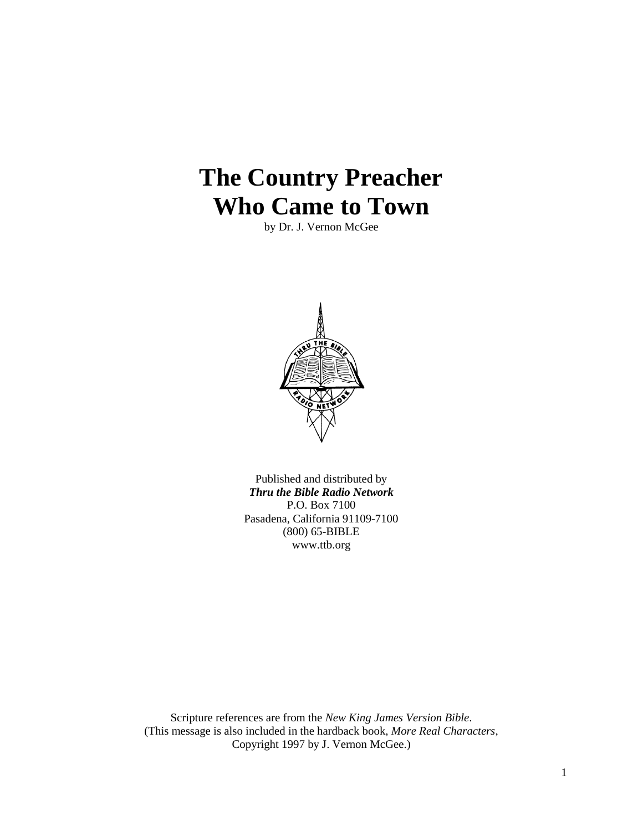# **The Country Preacher Who Came to Town**

by Dr. J. Vernon McGee



Published and distributed by *Thru the Bible Radio Network* P.O. Box 7100 Pasadena, California 91109-7100 (800) 65-BIBLE www.ttb.org

Scripture references are from the *New King James Version Bible*. (This message is also included in the hardback book, *More Real Characters*, Copyright 1997 by J. Vernon McGee.)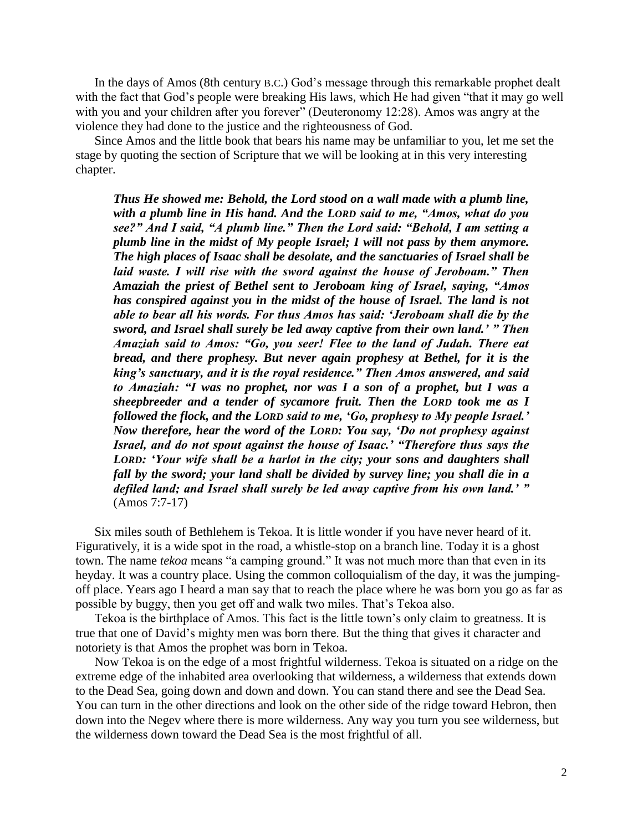In the days of Amos (8th century B.C.) God's message through this remarkable prophet dealt with the fact that God's people were breaking His laws, which He had given "that it may go well with you and your children after you forever" (Deuteronomy 12:28). Amos was angry at the violence they had done to the justice and the righteousness of God.

Since Amos and the little book that bears his name may be unfamiliar to you, let me set the stage by quoting the section of Scripture that we will be looking at in this very interesting chapter.

*Thus He showed me: Behold, the Lord stood on a wall made with a plumb line, with a plumb line in His hand. And the LORD said to me, "Amos, what do you see?" And I said, "A plumb line." Then the Lord said: "Behold, I am setting a plumb line in the midst of My people Israel; I will not pass by them anymore. The high places of Isaac shall be desolate, and the sanctuaries of Israel shall be laid waste. I will rise with the sword against the house of Jeroboam." Then Amaziah the priest of Bethel sent to Jeroboam king of Israel, saying, "Amos has conspired against you in the midst of the house of Israel. The land is not able to bear all his words. For thus Amos has said: "Jeroboam shall die by the sword, and Israel shall surely be led away captive from their own land." " Then Amaziah said to Amos: "Go, you seer! Flee to the land of Judah. There eat bread, and there prophesy. But never again prophesy at Bethel, for it is the king"s sanctuary, and it is the royal residence." Then Amos answered, and said to Amaziah: "I was no prophet, nor was I a son of a prophet, but I was a sheepbreeder and a tender of sycamore fruit. Then the LORD took me as I followed the flock, and the LORD said to me, "Go, prophesy to My people Israel." Now therefore, hear the word of the LORD: You say, "Do not prophesy against Israel, and do not spout against the house of Isaac." "Therefore thus says the LORD: "Your wife shall be a harlot in the city; your sons and daughters shall fall by the sword; your land shall be divided by survey line; you shall die in a defiled land; and Israel shall surely be led away captive from his own land." "* (Amos 7:7-17)

Six miles south of Bethlehem is Tekoa. It is little wonder if you have never heard of it. Figuratively, it is a wide spot in the road, a whistle-stop on a branch line. Today it is a ghost town. The name *tekoa* means "a camping ground." It was not much more than that even in its heyday. It was a country place. Using the common colloquialism of the day, it was the jumpingoff place. Years ago I heard a man say that to reach the place where he was born you go as far as possible by buggy, then you get off and walk two miles. That's Tekoa also.

Tekoa is the birthplace of Amos. This fact is the little town"s only claim to greatness. It is true that one of David"s mighty men was born there. But the thing that gives it character and notoriety is that Amos the prophet was born in Tekoa.

Now Tekoa is on the edge of a most frightful wilderness. Tekoa is situated on a ridge on the extreme edge of the inhabited area overlooking that wilderness, a wilderness that extends down to the Dead Sea, going down and down and down. You can stand there and see the Dead Sea. You can turn in the other directions and look on the other side of the ridge toward Hebron, then down into the Negev where there is more wilderness. Any way you turn you see wilderness, but the wilderness down toward the Dead Sea is the most frightful of all.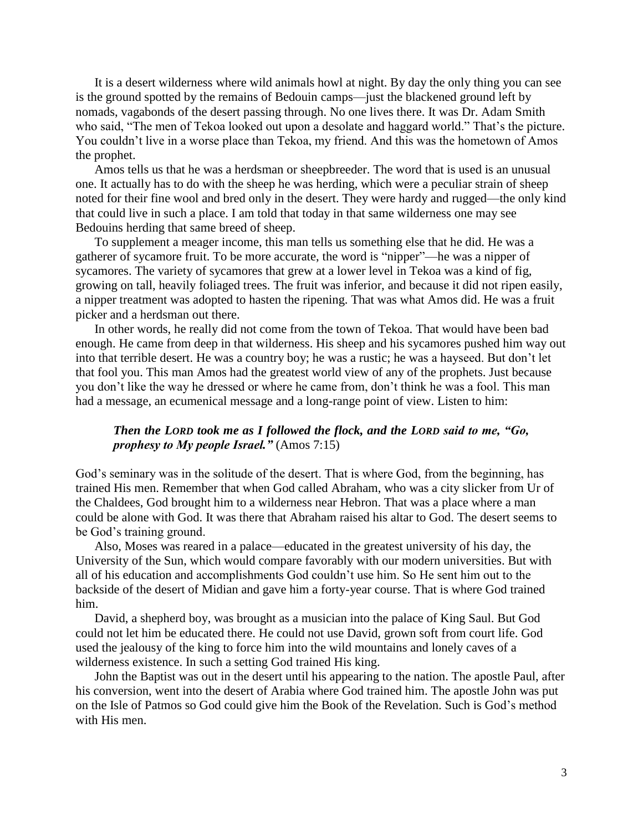It is a desert wilderness where wild animals howl at night. By day the only thing you can see is the ground spotted by the remains of Bedouin camps—just the blackened ground left by nomads, vagabonds of the desert passing through. No one lives there. It was Dr. Adam Smith who said, "The men of Tekoa looked out upon a desolate and haggard world." That's the picture. You couldn"t live in a worse place than Tekoa, my friend. And this was the hometown of Amos the prophet.

Amos tells us that he was a herdsman or sheepbreeder. The word that is used is an unusual one. It actually has to do with the sheep he was herding, which were a peculiar strain of sheep noted for their fine wool and bred only in the desert. They were hardy and rugged—the only kind that could live in such a place. I am told that today in that same wilderness one may see Bedouins herding that same breed of sheep.

To supplement a meager income, this man tells us something else that he did. He was a gatherer of sycamore fruit. To be more accurate, the word is "nipper"—he was a nipper of sycamores. The variety of sycamores that grew at a lower level in Tekoa was a kind of fig, growing on tall, heavily foliaged trees. The fruit was inferior, and because it did not ripen easily, a nipper treatment was adopted to hasten the ripening. That was what Amos did. He was a fruit picker and a herdsman out there.

In other words, he really did not come from the town of Tekoa. That would have been bad enough. He came from deep in that wilderness. His sheep and his sycamores pushed him way out into that terrible desert. He was a country boy; he was a rustic; he was a hayseed. But don"t let that fool you. This man Amos had the greatest world view of any of the prophets. Just because you don"t like the way he dressed or where he came from, don"t think he was a fool. This man had a message, an ecumenical message and a long-range point of view. Listen to him:

#### *Then the LORD took me as I followed the flock, and the LORD said to me, "Go, prophesy to My people Israel."* (Amos 7:15)

God"s seminary was in the solitude of the desert. That is where God, from the beginning, has trained His men. Remember that when God called Abraham, who was a city slicker from Ur of the Chaldees, God brought him to a wilderness near Hebron. That was a place where a man could be alone with God. It was there that Abraham raised his altar to God. The desert seems to be God"s training ground.

Also, Moses was reared in a palace—educated in the greatest university of his day, the University of the Sun, which would compare favorably with our modern universities. But with all of his education and accomplishments God couldn"t use him. So He sent him out to the backside of the desert of Midian and gave him a forty-year course. That is where God trained him.

David, a shepherd boy, was brought as a musician into the palace of King Saul. But God could not let him be educated there. He could not use David, grown soft from court life. God used the jealousy of the king to force him into the wild mountains and lonely caves of a wilderness existence. In such a setting God trained His king.

John the Baptist was out in the desert until his appearing to the nation. The apostle Paul, after his conversion, went into the desert of Arabia where God trained him. The apostle John was put on the Isle of Patmos so God could give him the Book of the Revelation. Such is God"s method with His men.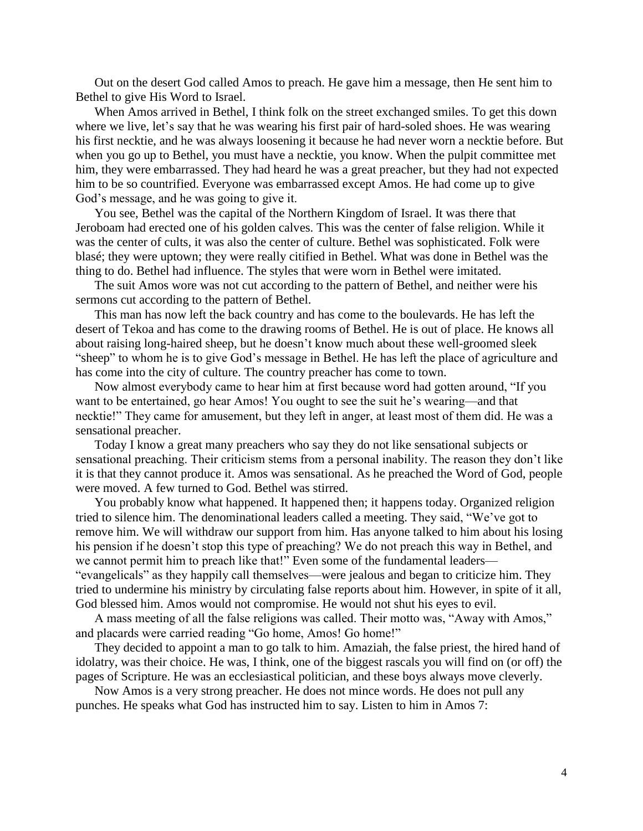Out on the desert God called Amos to preach. He gave him a message, then He sent him to Bethel to give His Word to Israel.

When Amos arrived in Bethel, I think folk on the street exchanged smiles. To get this down where we live, let's say that he was wearing his first pair of hard-soled shoes. He was wearing his first necktie, and he was always loosening it because he had never worn a necktie before. But when you go up to Bethel, you must have a necktie, you know. When the pulpit committee met him, they were embarrassed. They had heard he was a great preacher, but they had not expected him to be so countrified. Everyone was embarrassed except Amos. He had come up to give God's message, and he was going to give it.

You see, Bethel was the capital of the Northern Kingdom of Israel. It was there that Jeroboam had erected one of his golden calves. This was the center of false religion. While it was the center of cults, it was also the center of culture. Bethel was sophisticated. Folk were blasé; they were uptown; they were really citified in Bethel. What was done in Bethel was the thing to do. Bethel had influence. The styles that were worn in Bethel were imitated.

The suit Amos wore was not cut according to the pattern of Bethel, and neither were his sermons cut according to the pattern of Bethel.

This man has now left the back country and has come to the boulevards. He has left the desert of Tekoa and has come to the drawing rooms of Bethel. He is out of place. He knows all about raising long-haired sheep, but he doesn"t know much about these well-groomed sleek "sheep" to whom he is to give God"s message in Bethel. He has left the place of agriculture and has come into the city of culture. The country preacher has come to town.

Now almost everybody came to hear him at first because word had gotten around, "If you want to be entertained, go hear Amos! You ought to see the suit he"s wearing—and that necktie!" They came for amusement, but they left in anger, at least most of them did. He was a sensational preacher.

Today I know a great many preachers who say they do not like sensational subjects or sensational preaching. Their criticism stems from a personal inability. The reason they don"t like it is that they cannot produce it. Amos was sensational. As he preached the Word of God, people were moved. A few turned to God. Bethel was stirred.

You probably know what happened. It happened then; it happens today. Organized religion tried to silence him. The denominational leaders called a meeting. They said, "We"ve got to remove him. We will withdraw our support from him. Has anyone talked to him about his losing his pension if he doesn't stop this type of preaching? We do not preach this way in Bethel, and we cannot permit him to preach like that!" Even some of the fundamental leaders— "evangelicals" as they happily call themselves—were jealous and began to criticize him. They tried to undermine his ministry by circulating false reports about him. However, in spite of it all, God blessed him. Amos would not compromise. He would not shut his eyes to evil.

A mass meeting of all the false religions was called. Their motto was, "Away with Amos," and placards were carried reading "Go home, Amos! Go home!"

They decided to appoint a man to go talk to him. Amaziah, the false priest, the hired hand of idolatry, was their choice. He was, I think, one of the biggest rascals you will find on (or off) the pages of Scripture. He was an ecclesiastical politician, and these boys always move cleverly.

Now Amos is a very strong preacher. He does not mince words. He does not pull any punches. He speaks what God has instructed him to say. Listen to him in Amos 7: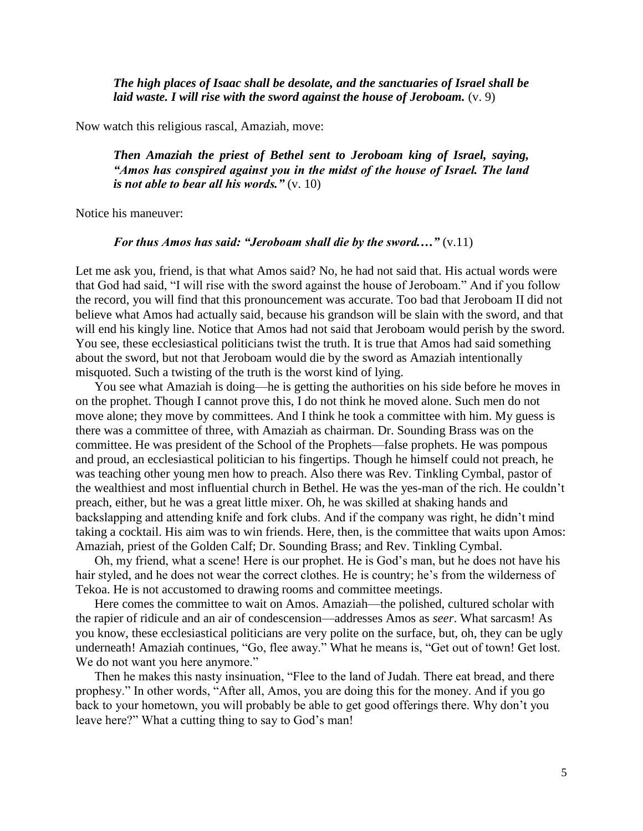*The high places of Isaac shall be desolate, and the sanctuaries of Israel shall be laid waste. I will rise with the sword against the house of Jeroboam.* (v. 9)

Now watch this religious rascal, Amaziah, move:

*Then Amaziah the priest of Bethel sent to Jeroboam king of Israel, saying, "Amos has conspired against you in the midst of the house of Israel. The land is not able to bear all his words."* (v. 10)

Notice his maneuver:

#### *For thus Amos has said: "Jeroboam shall die by the sword.…"* (v.11)

Let me ask you, friend, is that what Amos said? No, he had not said that. His actual words were that God had said, "I will rise with the sword against the house of Jeroboam." And if you follow the record, you will find that this pronouncement was accurate. Too bad that Jeroboam II did not believe what Amos had actually said, because his grandson will be slain with the sword, and that will end his kingly line. Notice that Amos had not said that Jeroboam would perish by the sword. You see, these ecclesiastical politicians twist the truth. It is true that Amos had said something about the sword, but not that Jeroboam would die by the sword as Amaziah intentionally misquoted. Such a twisting of the truth is the worst kind of lying.

You see what Amaziah is doing—he is getting the authorities on his side before he moves in on the prophet. Though I cannot prove this, I do not think he moved alone. Such men do not move alone; they move by committees. And I think he took a committee with him. My guess is there was a committee of three, with Amaziah as chairman. Dr. Sounding Brass was on the committee. He was president of the School of the Prophets—false prophets. He was pompous and proud, an ecclesiastical politician to his fingertips. Though he himself could not preach, he was teaching other young men how to preach. Also there was Rev. Tinkling Cymbal, pastor of the wealthiest and most influential church in Bethel. He was the yes-man of the rich. He couldn"t preach, either, but he was a great little mixer. Oh, he was skilled at shaking hands and backslapping and attending knife and fork clubs. And if the company was right, he didn"t mind taking a cocktail. His aim was to win friends. Here, then, is the committee that waits upon Amos: Amaziah, priest of the Golden Calf; Dr. Sounding Brass; and Rev. Tinkling Cymbal.

Oh, my friend, what a scene! Here is our prophet. He is God"s man, but he does not have his hair styled, and he does not wear the correct clothes. He is country; he's from the wilderness of Tekoa. He is not accustomed to drawing rooms and committee meetings.

Here comes the committee to wait on Amos. Amaziah—the polished, cultured scholar with the rapier of ridicule and an air of condescension—addresses Amos as *seer*. What sarcasm! As you know, these ecclesiastical politicians are very polite on the surface, but, oh, they can be ugly underneath! Amaziah continues, "Go, flee away." What he means is, "Get out of town! Get lost. We do not want you here anymore."

Then he makes this nasty insinuation, "Flee to the land of Judah. There eat bread, and there prophesy." In other words, "After all, Amos, you are doing this for the money. And if you go back to your hometown, you will probably be able to get good offerings there. Why don"t you leave here?" What a cutting thing to say to God's man!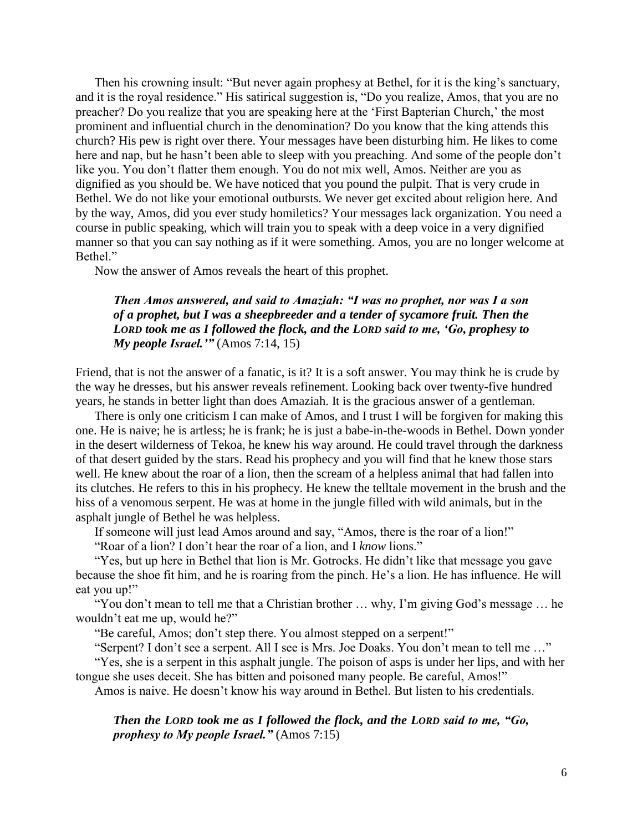Then his crowning insult: "But never again prophesy at Bethel, for it is the king"s sanctuary, and it is the royal residence." His satirical suggestion is, "Do you realize, Amos, that you are no preacher? Do you realize that you are speaking here at the 'First Bapterian Church,' the most prominent and influential church in the denomination? Do you know that the king attends this church? His pew is right over there. Your messages have been disturbing him. He likes to come here and nap, but he hasn't been able to sleep with you preaching. And some of the people don't like you. You don"t flatter them enough. You do not mix well, Amos. Neither are you as dignified as you should be. We have noticed that you pound the pulpit. That is very crude in Bethel. We do not like your emotional outbursts. We never get excited about religion here. And by the way, Amos, did you ever study homiletics? Your messages lack organization. You need a course in public speaking, which will train you to speak with a deep voice in a very dignified manner so that you can say nothing as if it were something. Amos, you are no longer welcome at Bethel."

Now the answer of Amos reveals the heart of this prophet.

## *Then Amos answered, and said to Amaziah: "I was no prophet, nor was I a son of a prophet, but I was a sheepbreeder and a tender of sycamore fruit. Then the LORD took me as I followed the flock, and the LORD said to me, "Go, prophesy to My people Israel.""* (Amos 7:14, 15)

Friend, that is not the answer of a fanatic, is it? It is a soft answer. You may think he is crude by the way he dresses, but his answer reveals refinement. Looking back over twenty-five hundred years, he stands in better light than does Amaziah. It is the gracious answer of a gentleman.

There is only one criticism I can make of Amos, and I trust I will be forgiven for making this one. He is naive; he is artless; he is frank; he is just a babe-in-the-woods in Bethel. Down yonder in the desert wilderness of Tekoa, he knew his way around. He could travel through the darkness of that desert guided by the stars. Read his prophecy and you will find that he knew those stars well. He knew about the roar of a lion, then the scream of a helpless animal that had fallen into its clutches. He refers to this in his prophecy. He knew the telltale movement in the brush and the hiss of a venomous serpent. He was at home in the jungle filled with wild animals, but in the asphalt jungle of Bethel he was helpless.

If someone will just lead Amos around and say, "Amos, there is the roar of a lion!"

"Roar of a lion? I don"t hear the roar of a lion, and I *know* lions."

"Yes, but up here in Bethel that lion is Mr. Gotrocks. He didn't like that message you gave because the shoe fit him, and he is roaring from the pinch. He"s a lion. He has influence. He will eat you up!"

"You don"t mean to tell me that a Christian brother … why, I"m giving God"s message … he wouldn"t eat me up, would he?"

"Be careful, Amos; don't step there. You almost stepped on a serpent!"

"Serpent? I don"t see a serpent. All I see is Mrs. Joe Doaks. You don"t mean to tell me …"

"Yes, she is a serpent in this asphalt jungle. The poison of asps is under her lips, and with her tongue she uses deceit. She has bitten and poisoned many people. Be careful, Amos!"

Amos is naive. He doesn"t know his way around in Bethel. But listen to his credentials.

*Then the LORD took me as I followed the flock, and the LORD said to me, "Go, prophesy to My people Israel."* (Amos 7:15)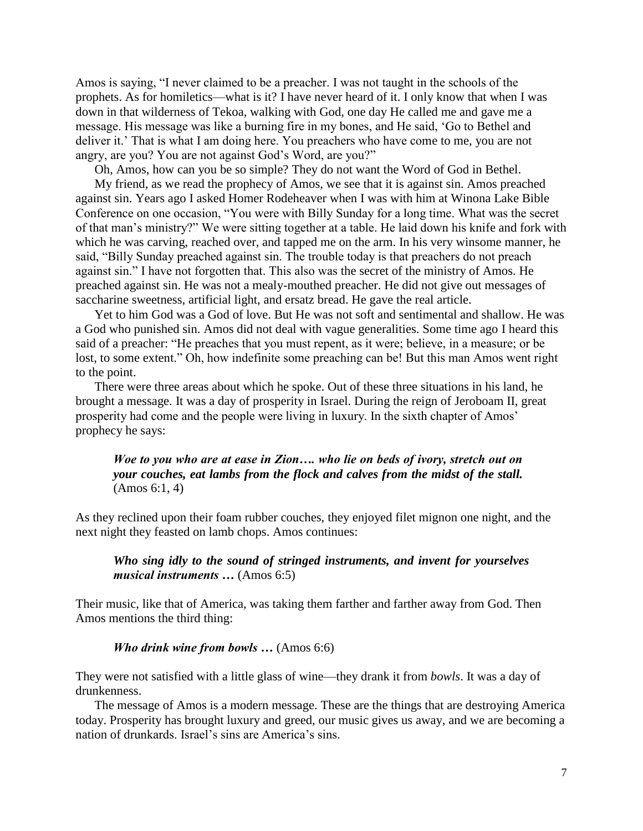Amos is saying, "I never claimed to be a preacher. I was not taught in the schools of the prophets. As for homiletics—what is it? I have never heard of it. I only know that when I was down in that wilderness of Tekoa, walking with God, one day He called me and gave me a message. His message was like a burning fire in my bones, and He said, "Go to Bethel and deliver it.' That is what I am doing here. You preachers who have come to me, you are not angry, are you? You are not against God"s Word, are you?"

Oh, Amos, how can you be so simple? They do not want the Word of God in Bethel.

My friend, as we read the prophecy of Amos, we see that it is against sin. Amos preached against sin. Years ago I asked Homer Rodeheaver when I was with him at Winona Lake Bible Conference on one occasion, "You were with Billy Sunday for a long time. What was the secret of that man"s ministry?" We were sitting together at a table. He laid down his knife and fork with which he was carving, reached over, and tapped me on the arm. In his very winsome manner, he said, "Billy Sunday preached against sin. The trouble today is that preachers do not preach against sin." I have not forgotten that. This also was the secret of the ministry of Amos. He preached against sin. He was not a mealy-mouthed preacher. He did not give out messages of saccharine sweetness, artificial light, and ersatz bread. He gave the real article.

Yet to him God was a God of love. But He was not soft and sentimental and shallow. He was a God who punished sin. Amos did not deal with vague generalities. Some time ago I heard this said of a preacher: "He preaches that you must repent, as it were; believe, in a measure; or be lost, to some extent." Oh, how indefinite some preaching can be! But this man Amos went right to the point.

There were three areas about which he spoke. Out of these three situations in his land, he brought a message. It was a day of prosperity in Israel. During the reign of Jeroboam II, great prosperity had come and the people were living in luxury. In the sixth chapter of Amos' prophecy he says:

## *Woe to you who are at ease in Zion…. who lie on beds of ivory, stretch out on your couches, eat lambs from the flock and calves from the midst of the stall.* (Amos 6:1, 4)

As they reclined upon their foam rubber couches, they enjoyed filet mignon one night, and the next night they feasted on lamb chops. Amos continues:

## *Who sing idly to the sound of stringed instruments, and invent for yourselves musical instruments …* (Amos 6:5)

Their music, like that of America, was taking them farther and farther away from God. Then Amos mentions the third thing:

#### *Who drink wine from bowls …* (Amos 6:6)

They were not satisfied with a little glass of wine—they drank it from *bowls*. It was a day of drunkenness.

The message of Amos is a modern message. These are the things that are destroying America today. Prosperity has brought luxury and greed, our music gives us away, and we are becoming a nation of drunkards. Israel's sins are America's sins.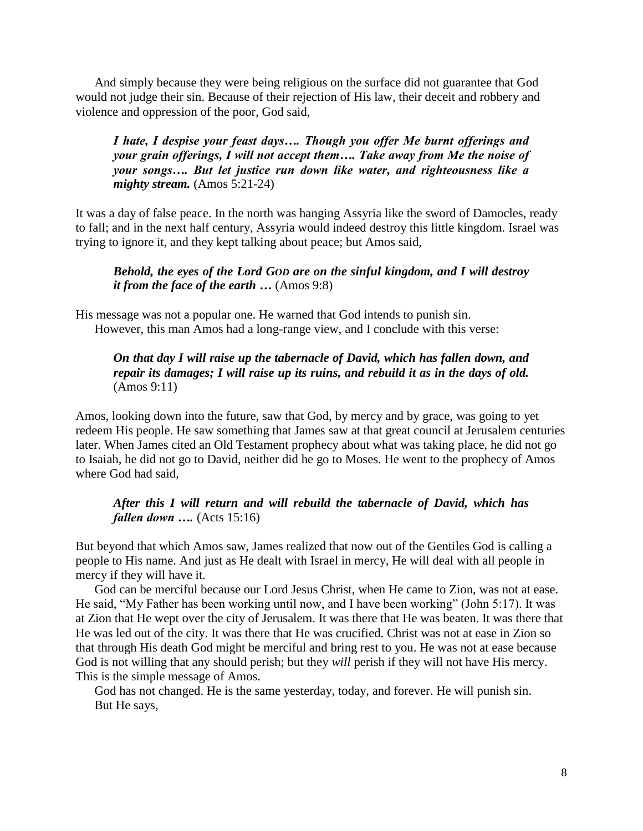And simply because they were being religious on the surface did not guarantee that God would not judge their sin. Because of their rejection of His law, their deceit and robbery and violence and oppression of the poor, God said,

*I hate, I despise your feast days…. Though you offer Me burnt offerings and your grain offerings, I will not accept them…. Take away from Me the noise of your songs…. But let justice run down like water, and righteousness like a mighty stream.* (Amos 5:21-24)

It was a day of false peace. In the north was hanging Assyria like the sword of Damocles, ready to fall; and in the next half century, Assyria would indeed destroy this little kingdom. Israel was trying to ignore it, and they kept talking about peace; but Amos said,

*Behold, the eyes of the Lord GOD are on the sinful kingdom, and I will destroy it from the face of the earth …* (Amos 9:8)

His message was not a popular one. He warned that God intends to punish sin. However, this man Amos had a long-range view, and I conclude with this verse:

#### *On that day I will raise up the tabernacle of David, which has fallen down, and repair its damages; I will raise up its ruins, and rebuild it as in the days of old.* (Amos 9:11)

Amos, looking down into the future, saw that God, by mercy and by grace, was going to yet redeem His people. He saw something that James saw at that great council at Jerusalem centuries later. When James cited an Old Testament prophecy about what was taking place, he did not go to Isaiah, he did not go to David, neither did he go to Moses. He went to the prophecy of Amos where God had said.

## *After this I will return and will rebuild the tabernacle of David, which has fallen down ….* (Acts 15:16)

But beyond that which Amos saw, James realized that now out of the Gentiles God is calling a people to His name. And just as He dealt with Israel in mercy, He will deal with all people in mercy if they will have it.

God can be merciful because our Lord Jesus Christ, when He came to Zion, was not at ease. He said, "My Father has been working until now, and I have been working" (John 5:17). It was at Zion that He wept over the city of Jerusalem. It was there that He was beaten. It was there that He was led out of the city. It was there that He was crucified. Christ was not at ease in Zion so that through His death God might be merciful and bring rest to you. He was not at ease because God is not willing that any should perish; but they *will* perish if they will not have His mercy. This is the simple message of Amos.

God has not changed. He is the same yesterday, today, and forever. He will punish sin. But He says,